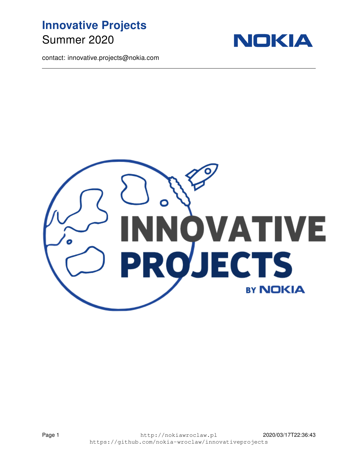



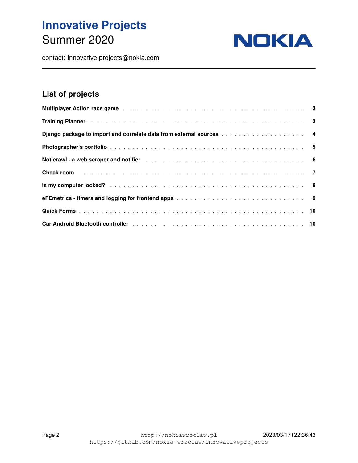

contact: innovative.projects@nokia.com

#### <span id="page-1-0"></span>List of projects

| <b>Multiplayer Action race game</b> education of the contract of the contract of the contract of the contract of the contract of the contract of the contract of the contract of the contract of the contract of the contract of th |  |
|-------------------------------------------------------------------------------------------------------------------------------------------------------------------------------------------------------------------------------------|--|
|                                                                                                                                                                                                                                     |  |
|                                                                                                                                                                                                                                     |  |
|                                                                                                                                                                                                                                     |  |
|                                                                                                                                                                                                                                     |  |
|                                                                                                                                                                                                                                     |  |
|                                                                                                                                                                                                                                     |  |
|                                                                                                                                                                                                                                     |  |
|                                                                                                                                                                                                                                     |  |
| Car Android Bluetooth controller et al., and a series and a series and series and series and series and series                                                                                                                      |  |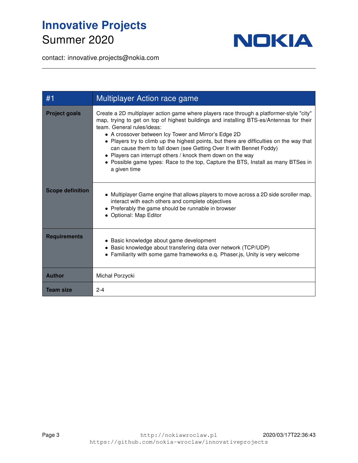

| #1                      | Multiplayer Action race game                                                                                                                                                                                                                                                                                                                                                                                                                                                                                                                                                                                     |
|-------------------------|------------------------------------------------------------------------------------------------------------------------------------------------------------------------------------------------------------------------------------------------------------------------------------------------------------------------------------------------------------------------------------------------------------------------------------------------------------------------------------------------------------------------------------------------------------------------------------------------------------------|
| <b>Project goals</b>    | Create a 2D multiplayer action game where players race through a platformer-style "city"<br>map, trying to get on top of highest buildings and installing BTS-es/Antennas for their<br>team. General rules/ideas:<br>• A crossover between Icy Tower and Mirror's Edge 2D<br>• Players try to climb up the highest points, but there are difficulties on the way that<br>can cause them to fall down (see Getting Over It with Bennet Foddy)<br>• Players can interrupt others / knock them down on the way<br>• Possible game types: Race to the top, Capture the BTS, Install as many BTSes in<br>a given time |
| <b>Scope definition</b> | • Multiplayer Game engine that allows players to move across a 2D side scroller map,<br>interact with each others and complete objectives<br>• Preferably the game should be runnable in browser<br>• Optional: Map Editor                                                                                                                                                                                                                                                                                                                                                                                       |
| <b>Requirements</b>     | • Basic knowledge about game development<br>• Basic knowledge about transfering data over network (TCP/UDP)<br>• Familiarity with some game frameworks e.g. Phaser.js, Unity is very welcome                                                                                                                                                                                                                                                                                                                                                                                                                     |
| <b>Author</b>           | Michał Porzycki                                                                                                                                                                                                                                                                                                                                                                                                                                                                                                                                                                                                  |
| <b>Team size</b>        | $2 - 4$                                                                                                                                                                                                                                                                                                                                                                                                                                                                                                                                                                                                          |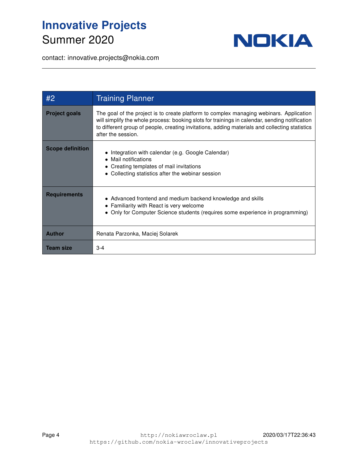

| #2                      | <b>Training Planner</b>                                                                                                                                                                                                                                                                                           |
|-------------------------|-------------------------------------------------------------------------------------------------------------------------------------------------------------------------------------------------------------------------------------------------------------------------------------------------------------------|
| <b>Project goals</b>    | The goal of the project is to create platform to complex managing webinars. Application<br>will simplify the whole process: booking slots for trainings in calendar, sending notification<br>to different group of people, creating invitations, adding materials and collecting statistics<br>after the session. |
| <b>Scope definition</b> | • Integration with calendar (e.g. Google Calendar)<br>• Mail notifications<br>• Creating templates of mail invitations<br>• Collecting statistics after the webinar session                                                                                                                                       |
| <b>Requirements</b>     | • Advanced frontend and medium backend knowledge and skills<br>• Familiarity with React is very welcome<br>• Only for Computer Science students (requires some experience in programming)                                                                                                                         |
| <b>Author</b>           | Renata Parzonka, Maciej Solarek                                                                                                                                                                                                                                                                                   |
| <b>Team size</b>        | $3 - 4$                                                                                                                                                                                                                                                                                                           |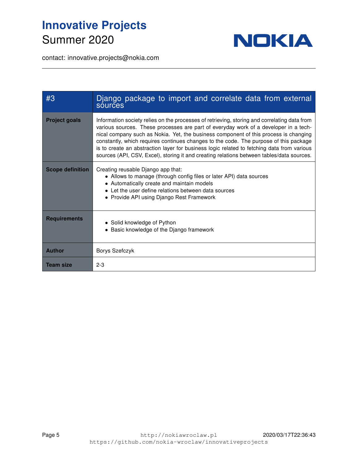

| #3                      | Django package to import and correlate data from external<br>sources                                                                                                                                                                                                                                                                                                                                                                                                                                                                                             |
|-------------------------|------------------------------------------------------------------------------------------------------------------------------------------------------------------------------------------------------------------------------------------------------------------------------------------------------------------------------------------------------------------------------------------------------------------------------------------------------------------------------------------------------------------------------------------------------------------|
| <b>Project goals</b>    | Information society relies on the processes of retrieving, storing and correlating data from<br>various sources. These processes are part of everyday work of a developer in a tech-<br>nical company such as Nokia. Yet, the business component of this process is changing<br>constantly, which requires continues changes to the code. The purpose of this package<br>is to create an abstraction layer for business logic related to fetching data from various<br>sources (API, CSV, Excel), storing it and creating relations between tables/data sources. |
| <b>Scope definition</b> | Creating reusable Django app that:<br>• Allows to manage (through config files or later API) data sources<br>• Automatically create and maintain models<br>• Let the user define relations between data sources<br>• Provide API using Django Rest Framework                                                                                                                                                                                                                                                                                                     |
| <b>Requirements</b>     | • Solid knowledge of Python<br>• Basic knowledge of the Django framework                                                                                                                                                                                                                                                                                                                                                                                                                                                                                         |
| <b>Author</b>           | <b>Borys Szefczyk</b>                                                                                                                                                                                                                                                                                                                                                                                                                                                                                                                                            |
| <b>Team size</b>        | $2 - 3$                                                                                                                                                                                                                                                                                                                                                                                                                                                                                                                                                          |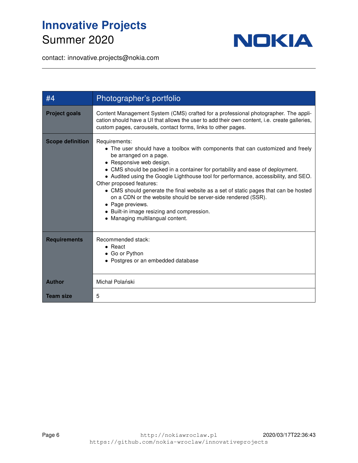

| #4                      | Photographer's portfolio                                                                                                                                                                                                                                                                                                                                                                                                                                                                                                                                                                                                 |
|-------------------------|--------------------------------------------------------------------------------------------------------------------------------------------------------------------------------------------------------------------------------------------------------------------------------------------------------------------------------------------------------------------------------------------------------------------------------------------------------------------------------------------------------------------------------------------------------------------------------------------------------------------------|
| <b>Project goals</b>    | Content Management System (CMS) crafted for a professional photographer. The appli-<br>cation should have a UI that allows the user to add their own content, i.e. create galleries,<br>custom pages, carousels, contact forms, links to other pages.                                                                                                                                                                                                                                                                                                                                                                    |
| <b>Scope definition</b> | Requirements:<br>• The user should have a toolbox with components that can customized and freely<br>be arranged on a page.<br>• Responsive web design.<br>• CMS should be packed in a container for portability and ease of deployment.<br>• Audited using the Google Lighthouse tool for performance, accessibility, and SEO.<br>Other proposed features:<br>• CMS should generate the final website as a set of static pages that can be hosted<br>on a CDN or the website should be server-side rendered (SSR).<br>• Page previews.<br>• Built-in image resizing and compression.<br>• Managing multilangual content. |
| <b>Requirements</b>     | Recommended stack:<br>$\bullet$ React<br>• Go or Python<br>• Postgres or an embedded database                                                                                                                                                                                                                                                                                                                                                                                                                                                                                                                            |
| <b>Author</b>           | Michał Polański                                                                                                                                                                                                                                                                                                                                                                                                                                                                                                                                                                                                          |
| <b>Team size</b>        | 5                                                                                                                                                                                                                                                                                                                                                                                                                                                                                                                                                                                                                        |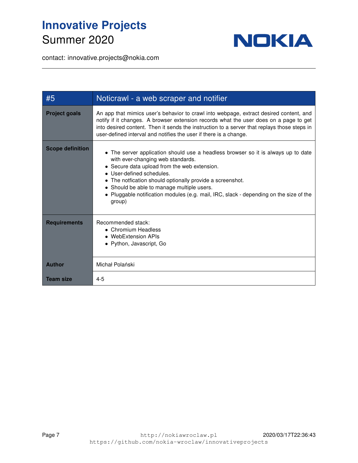

| #5                      | Noticrawl - a web scraper and notifier                                                                                                                                                                                                                                                                                                                                                                             |
|-------------------------|--------------------------------------------------------------------------------------------------------------------------------------------------------------------------------------------------------------------------------------------------------------------------------------------------------------------------------------------------------------------------------------------------------------------|
| <b>Project goals</b>    | An app that mimics user's behavior to crawl into webpage, extract desired content, and<br>notify if it changes. A browser extension records what the user does on a page to get<br>into desired content. Then it sends the instruction to a server that replays those steps in<br>user-defined interval and notifies the user if there is a change.                                                                |
| <b>Scope definition</b> | • The server application should use a headless browser so it is always up to date<br>with ever-changing web standards.<br>• Secure data upload from the web extension.<br>• User-defined schedules.<br>• The notfication should optionally provide a screenshot.<br>• Should be able to manage multiple users.<br>• Pluggable notification modules (e.g. mail, IRC, slack - depending on the size of the<br>group) |
| <b>Requirements</b>     | Recommended stack:<br>• Chromium Headless<br>• WebExtension APIs<br>• Python, Javascript, Go                                                                                                                                                                                                                                                                                                                       |
| <b>Author</b>           | Michał Polański                                                                                                                                                                                                                                                                                                                                                                                                    |
| <b>Team size</b>        | $4 - 5$                                                                                                                                                                                                                                                                                                                                                                                                            |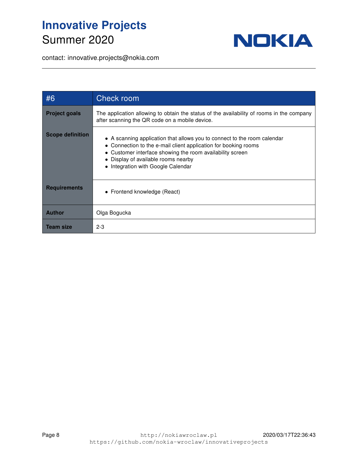

| #6                      | Check room                                                                                                                                                                                                                                                                            |
|-------------------------|---------------------------------------------------------------------------------------------------------------------------------------------------------------------------------------------------------------------------------------------------------------------------------------|
| <b>Project goals</b>    | The application allowing to obtain the status of the availability of rooms in the company<br>after scanning the QR code on a mobile device.                                                                                                                                           |
| <b>Scope definition</b> | • A scanning application that allows you to connect to the room calendar<br>• Connection to the e-mail client application for booking rooms<br>• Customer interface showing the room availability screen<br>• Display of available rooms nearby<br>• Integration with Google Calendar |
| <b>Requirements</b>     | • Frontend knowledge (React)                                                                                                                                                                                                                                                          |
| <b>Author</b>           | Olga Bogucka                                                                                                                                                                                                                                                                          |
| <b>Team size</b>        | $2 - 3$                                                                                                                                                                                                                                                                               |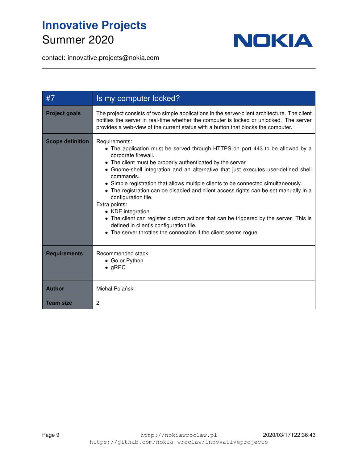

| #7                      | Is my computer locked?                                                                                                                                                                                                                                                                                                                                                                                                                                                                                                                                                                                                                                                                                                                     |
|-------------------------|--------------------------------------------------------------------------------------------------------------------------------------------------------------------------------------------------------------------------------------------------------------------------------------------------------------------------------------------------------------------------------------------------------------------------------------------------------------------------------------------------------------------------------------------------------------------------------------------------------------------------------------------------------------------------------------------------------------------------------------------|
| <b>Project goals</b>    | The project consists of two simple applications in the server-client architecture. The client<br>notifies the server in real-time whether the computer is locked or unlocked. The server<br>provides a web-view of the current status with a button that blocks the computer.                                                                                                                                                                                                                                                                                                                                                                                                                                                              |
| <b>Scope definition</b> | Requirements:<br>• The application must be served through HTTPS on port 443 to be allowed by a<br>corporate firewall.<br>• The client must be properly authenticated by the server.<br>• Gnome-shell integration and an alternative that just executes user-defined shell<br>commands.<br>• Simple registration that allows multiple clients to be connected simultaneously.<br>• The registration can be disabled and client access rights can be set manually in a<br>configuration file.<br>Extra points:<br>• KDE integration.<br>• The client can register custom actions that can be triggered by the server. This is<br>defined in client's configuration file.<br>• The server throttles the connection if the client seems rogue. |
| <b>Requirements</b>     | Recommended stack:<br>• Go or Python<br>$\bullet$ gRPC                                                                                                                                                                                                                                                                                                                                                                                                                                                                                                                                                                                                                                                                                     |
| <b>Author</b>           | Michał Polański                                                                                                                                                                                                                                                                                                                                                                                                                                                                                                                                                                                                                                                                                                                            |
| <b>Team size</b>        | 2                                                                                                                                                                                                                                                                                                                                                                                                                                                                                                                                                                                                                                                                                                                                          |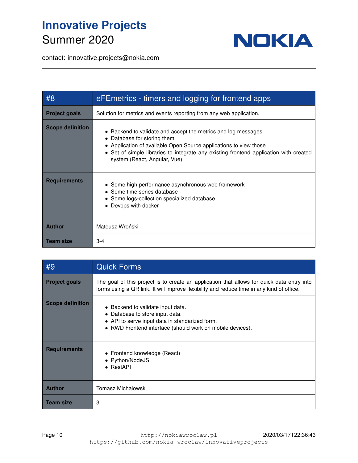

| #8                      | eFEmetrics - timers and logging for frontend apps                                                                                                                                                                                                                                          |
|-------------------------|--------------------------------------------------------------------------------------------------------------------------------------------------------------------------------------------------------------------------------------------------------------------------------------------|
| <b>Project goals</b>    | Solution for metrics and events reporting from any web application.                                                                                                                                                                                                                        |
| <b>Scope definition</b> | • Backend to validate and accept the metrics and log messages<br>• Database for storing them<br>• Application of available Open Source applications to view those<br>• Set of simple libraries to integrate any existing frontend application with created<br>system (React, Angular, Vue) |
| <b>Requirements</b>     | • Some high performance asynchronous web framework<br>• Some time series database<br>• Some logs-collection specialized database<br>• Devops with docker                                                                                                                                   |
| <b>Author</b>           | Mateusz Wroński                                                                                                                                                                                                                                                                            |
| <b>Team size</b>        | $3 - 4$                                                                                                                                                                                                                                                                                    |

| #9                      | <b>Quick Forms</b>                                                                                                                                                                      |
|-------------------------|-----------------------------------------------------------------------------------------------------------------------------------------------------------------------------------------|
| <b>Project goals</b>    | The goal of this project is to create an application that allows for quick data entry into<br>forms using a QR link. It will improve flexibility and reduce time in any kind of office. |
| <b>Scope definition</b> | • Backend to validate input data.<br>• Database to store input data.<br>• API to serve input data in standarized form.<br>• RWD Frontend interface (should work on mobile devices).     |
| <b>Requirements</b>     | • Frontend knowledge (React)<br>• Python/NodeJS<br>$\bullet$ RestAPI                                                                                                                    |
| <b>Author</b>           | Tomasz Michałowski                                                                                                                                                                      |
| <b>Team size</b>        | 3                                                                                                                                                                                       |